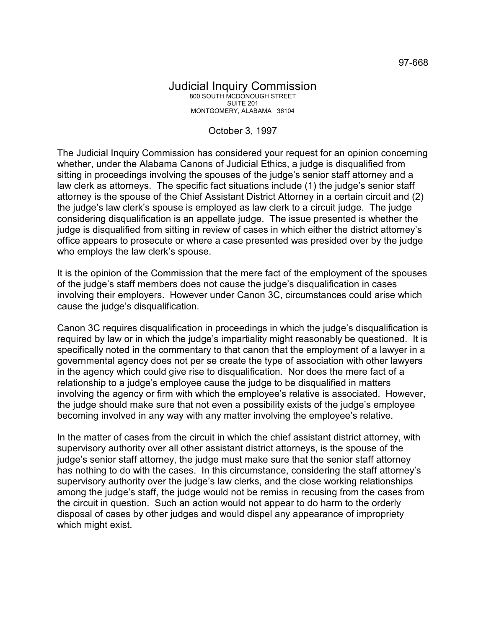## Judicial Inquiry Commission 800 SOUTH MCDONOUGH STREET SUITE 201 MONTGOMERY, ALABAMA 36104

## October 3, 1997

The Judicial Inquiry Commission has considered your request for an opinion concerning whether, under the Alabama Canons of Judicial Ethics, a judge is disqualified from sitting in proceedings involving the spouses of the judge's senior staff attorney and a law clerk as attorneys. The specific fact situations include (1) the judge's senior staff attorney is the spouse of the Chief Assistant District Attorney in a certain circuit and (2) the judge's law clerk's spouse is employed as law clerk to a circuit judge. The judge considering disqualification is an appellate judge. The issue presented is whether the judge is disqualified from sitting in review of cases in which either the district attorney's office appears to prosecute or where a case presented was presided over by the judge who employs the law clerk's spouse.

It is the opinion of the Commission that the mere fact of the employment of the spouses of the judge's staff members does not cause the judge's disqualification in cases involving their employers. However under Canon 3C, circumstances could arise which cause the judge's disqualification.

Canon 3C requires disqualification in proceedings in which the judge's disqualification is required by law or in which the judge's impartiality might reasonably be questioned. It is specifically noted in the commentary to that canon that the employment of a lawyer in a governmental agency does not per se create the type of association with other lawyers in the agency which could give rise to disqualification. Nor does the mere fact of a relationship to a judge's employee cause the judge to be disqualified in matters involving the agency or firm with which the employee's relative is associated. However, the judge should make sure that not even a possibility exists of the judge's employee becoming involved in any way with any matter involving the employee's relative.

In the matter of cases from the circuit in which the chief assistant district attorney, with supervisory authority over all other assistant district attorneys, is the spouse of the judge's senior staff attorney, the judge must make sure that the senior staff attorney has nothing to do with the cases. In this circumstance, considering the staff attorney's supervisory authority over the judge's law clerks, and the close working relationships among the judge's staff, the judge would not be remiss in recusing from the cases from the circuit in question. Such an action would not appear to do harm to the orderly disposal of cases by other judges and would dispel any appearance of impropriety which might exist.